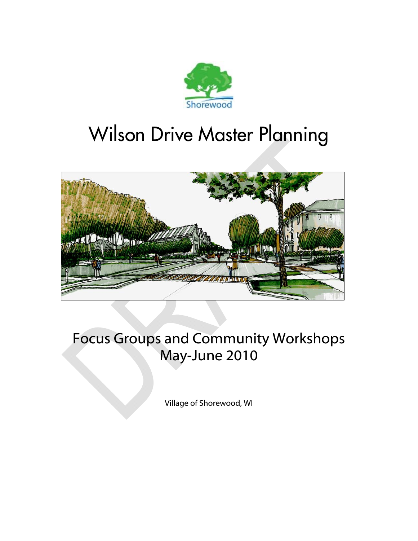

# Wilson Drive Master Planning



## Focus Groups and Community Workshops May-June 2010

Village of Shorewood, WI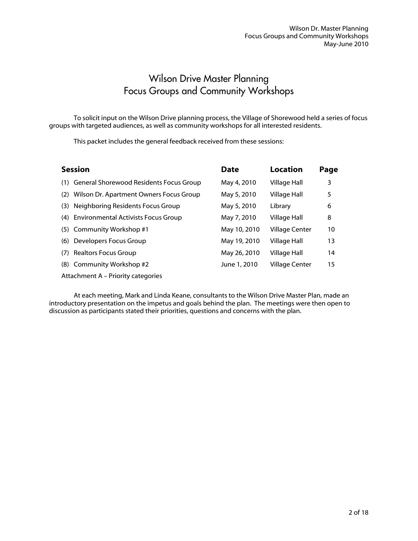## Wilson Drive Master Planning Focus Groups and Community Workshops

 To solicit input on the Wilson Drive planning process, the Village of Shorewood held a series of focus groups with targeted audiences, as well as community workshops for all interested residents.

This packet includes the general feedback received from these sessions:

| <b>Session</b>                                    | <b>Date</b>  | Location              | Page |
|---------------------------------------------------|--------------|-----------------------|------|
| (1) General Shorewood Residents Focus Group       | May 4, 2010  | Village Hall          | 3    |
| Wilson Dr. Apartment Owners Focus Group<br>(2)    | May 5, 2010  | <b>Village Hall</b>   | 5    |
| Neighboring Residents Focus Group<br>(3)          | May 5, 2010  | Library               | 6    |
| <b>Environmental Activists Focus Group</b><br>(4) | May 7, 2010  | Village Hall          | 8    |
| (5) Community Workshop #1                         | May 10, 2010 | <b>Village Center</b> | 10   |
| Developers Focus Group<br>(6)                     | May 19, 2010 | Village Hall          | 13   |
| <b>Realtors Focus Group</b><br>(7)                | May 26, 2010 | Village Hall          | 14   |
| (8) Community Workshop #2                         | June 1, 2010 | <b>Village Center</b> | 15   |
| Attachment A – Priority categories                |              |                       |      |

 At each meeting, Mark and Linda Keane, consultants to the Wilson Drive Master Plan, made an introductory presentation on the impetus and goals behind the plan. The meetings were then open to discussion as participants stated their priorities, questions and concerns with the plan.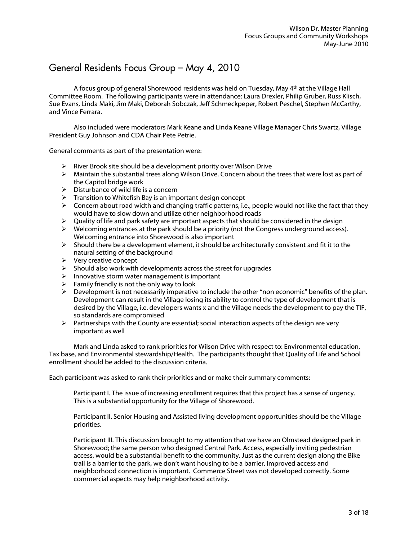## General Residents Focus Group – May 4, 2010

A focus group of general Shorewood residents was held on Tuesday, May 4th at the Village Hall Committee Room. The following participants were in attendance: Laura Drexler, Philip Gruber, Russ Klisch, Sue Evans, Linda Maki, Jim Maki, Deborah Sobczak, Jeff Schmeckpeper, Robert Peschel, Stephen McCarthy, and Vince Ferrara.

 Also included were moderators Mark Keane and Linda Keane Village Manager Chris Swartz, Village President Guy Johnson and CDA Chair Pete Petrie.

General comments as part of the presentation were:

- $\triangleright$  River Brook site should be a development priority over Wilson Drive
- $\triangleright$  Maintain the substantial trees along Wilson Drive. Concern about the trees that were lost as part of the Capitol bridge work
- $\triangleright$  Disturbance of wild life is a concern
- $\triangleright$  Transition to Whitefish Bay is an important design concept
- $\triangleright$  Concern about road width and changing traffic patterns, i.e., people would not like the fact that they would have to slow down and utilize other neighborhood roads
- $\triangleright$  Quality of life and park safety are important aspects that should be considered in the design
- $\triangleright$  Welcoming entrances at the park should be a priority (not the Congress underground access). Welcoming entrance into Shorewood is also important
- $\triangleright$  Should there be a development element, it should be architecturally consistent and fit it to the natural setting of the background
- $\triangleright$  Very creative concept
- $\triangleright$  Should also work with developments across the street for upgrades
- $\triangleright$  Innovative storm water management is important
- $\triangleright$  Family friendly is not the only way to look
- $\triangleright$  Development is not necessarily imperative to include the other "non economic" benefits of the plan. Development can result in the Village losing its ability to control the type of development that is desired by the Village, i.e. developers wants x and the Village needs the development to pay the TIF, so standards are compromised
- $\triangleright$  Partnerships with the County are essential; social interaction aspects of the design are very important as well

 Mark and Linda asked to rank priorities for Wilson Drive with respect to: Environmental education, Tax base, and Environmental stewardship/Health. The participants thought that Quality of Life and School enrollment should be added to the discussion criteria.

Each participant was asked to rank their priorities and or make their summary comments:

Participant I. The issue of increasing enrollment requires that this project has a sense of urgency. This is a substantial opportunity for the Village of Shorewood.

Participant II. Senior Housing and Assisted living development opportunities should be the Village priorities.

Participant III. This discussion brought to my attention that we have an Olmstead designed park in Shorewood; the same person who designed Central Park. Access, especially inviting pedestrian access, would be a substantial benefit to the community. Just as the current design along the Bike trail is a barrier to the park, we don't want housing to be a barrier. Improved access and neighborhood connection is important. Commerce Street was not developed correctly. Some commercial aspects may help neighborhood activity.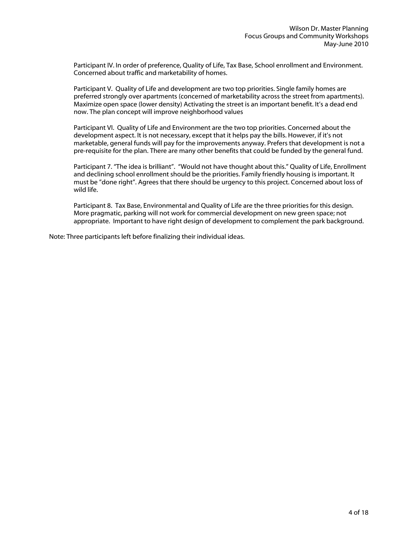Participant IV. In order of preference, Quality of Life, Tax Base, School enrollment and Environment. Concerned about traffic and marketability of homes.

Participant V. Quality of Life and development are two top priorities. Single family homes are preferred strongly over apartments (concerned of marketability across the street from apartments). Maximize open space (lower density) Activating the street is an important benefit. It's a dead end now. The plan concept will improve neighborhood values

Participant VI. Quality of Life and Environment are the two top priorities. Concerned about the development aspect. It is not necessary, except that it helps pay the bills. However, if it's not marketable, general funds will pay for the improvements anyway. Prefers that development is not a pre-requisite for the plan. There are many other benefits that could be funded by the general fund.

Participant 7. "The idea is brilliant". "Would not have thought about this." Quality of Life, Enrollment and declining school enrollment should be the priorities. Family friendly housing is important. It must be "done right". Agrees that there should be urgency to this project. Concerned about loss of wild life.

Participant 8. Tax Base, Environmental and Quality of Life are the three priorities for this design. More pragmatic, parking will not work for commercial development on new green space; not appropriate. Important to have right design of development to complement the park background.

Note: Three participants left before finalizing their individual ideas.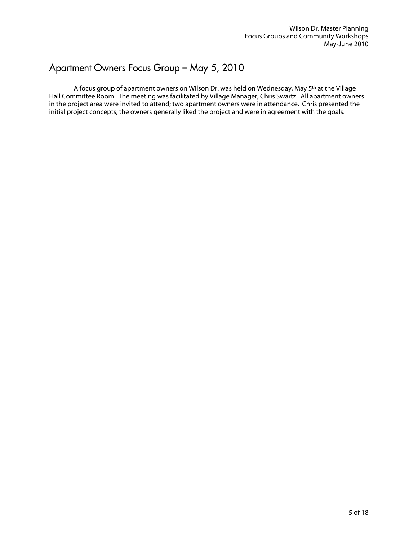#### Apartment Owners Focus Group – May 5, 2010

 A focus group of apartment owners on Wilson Dr. was held on Wednesday, May 5th at the Village Hall Committee Room. The meeting was facilitated by Village Manager, Chris Swartz. All apartment owners in the project area were invited to attend; two apartment owners were in attendance. Chris presented the initial project concepts; the owners generally liked the project and were in agreement with the goals.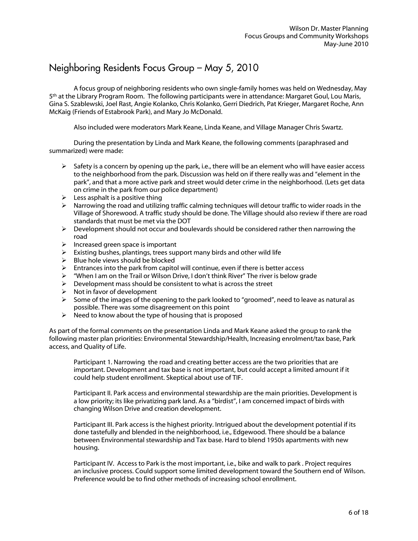#### Neighboring Residents Focus Group – May 5, 2010

A focus group of neighboring residents who own single-family homes was held on Wednesday, May 5th at the Library Program Room. The following participants were in attendance: Margaret Goul, Lou Maris, Gina S. Szablewski, Joel Rast, Angie Kolanko, Chris Kolanko, Gerri Diedrich, Pat Krieger, Margaret Roche, Ann McKaig (Friends of Estabrook Park), and Mary Jo McDonald.

Also included were moderators Mark Keane, Linda Keane, and Village Manager Chris Swartz.

 During the presentation by Linda and Mark Keane, the following comments (paraphrased and summarized) were made:

- $\triangleright$  Safety is a concern by opening up the park, i.e., there will be an element who will have easier access to the neighborhood from the park. Discussion was held on if there really was and "element in the park", and that a more active park and street would deter crime in the neighborhood. (Lets get data on crime in the park from our police department)
- $\blacktriangleright$  Less asphalt is a positive thing
- $\triangleright$  Narrowing the road and utilizing traffic calming techniques will detour traffic to wider roads in the Village of Shorewood. A traffic study should be done. The Village should also review if there are road standards that must be met via the DOT
- $\triangleright$  Development should not occur and boulevards should be considered rather then narrowing the road
- $\triangleright$  Increased green space is important
- $\triangleright$  Existing bushes, plantings, trees support many birds and other wild life
- $\triangleright$  Blue hole views should be blocked
- $\triangleright$  Entrances into the park from capitol will continue, even if there is better access
- $\triangleright$  "When I am on the Trail or Wilson Drive, I don't think River" The river is below grade
- $\triangleright$  Development mass should be consistent to what is across the street
- $\triangleright$  Not in favor of development
- $\triangleright$  Some of the images of the opening to the park looked to "groomed", need to leave as natural as possible. There was some disagreement on this point
- $\triangleright$  Need to know about the type of housing that is proposed

As part of the formal comments on the presentation Linda and Mark Keane asked the group to rank the following master plan priorities: Environmental Stewardship/Health, Increasing enrolment/tax base, Park access, and Quality of Life.

 Participant 1. Narrowing the road and creating better access are the two priorities that are important. Development and tax base is not important, but could accept a limited amount if it could help student enrollment. Skeptical about use of TIF.

 Participant II. Park access and environmental stewardship are the main priorities. Development is a low priority; its like privatizing park land. As a "birdist", I am concerned impact of birds with changing Wilson Drive and creation development.

 Participant III. Park access is the highest priority. Intrigued about the development potential if its done tastefully and blended in the neighborhood, i.e., Edgewood. There should be a balance between Environmental stewardship and Tax base. Hard to blend 1950s apartments with new housing.

 Participant IV. Access to Park is the most important, i.e., bike and walk to park . Project requires an inclusive process. Could support some limited development toward the Southern end of Wilson. Preference would be to find other methods of increasing school enrollment.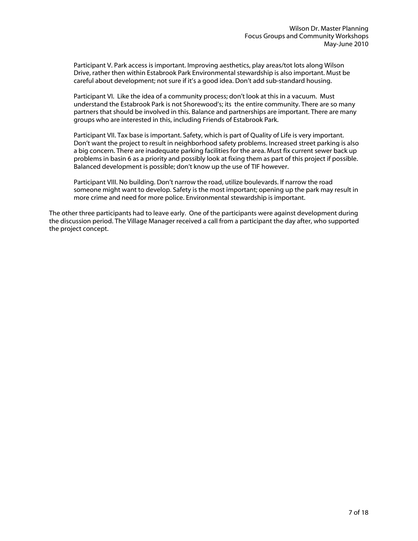Participant V. Park access is important. Improving aesthetics, play areas/tot lots along Wilson Drive, rather then within Estabrook Park Environmental stewardship is also important. Must be careful about development; not sure if it's a good idea. Don't add sub-standard housing.

 Participant VI. Like the idea of a community process; don't look at this in a vacuum. Must understand the Estabrook Park is not Shorewood's; its the entire community. There are so many partners that should be involved in this. Balance and partnerships are important. There are many groups who are interested in this, including Friends of Estabrook Park.

 Participant VII. Tax base is important. Safety, which is part of Quality of Life is very important. Don't want the project to result in neighborhood safety problems. Increased street parking is also a big concern. There are inadequate parking facilities for the area. Must fix current sewer back up problems in basin 6 as a priority and possibly look at fixing them as part of this project if possible. Balanced development is possible; don't know up the use of TIF however.

 Participant VIII. No building. Don't narrow the road, utilize boulevards. If narrow the road someone might want to develop. Safety is the most important; opening up the park may result in more crime and need for more police. Environmental stewardship is important.

The other three participants had to leave early. One of the participants were against development during the discussion period. The Village Manager received a call from a participant the day after, who supported the project concept.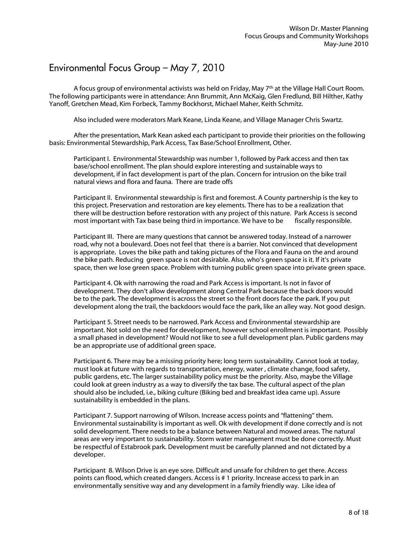## Environmental Focus Group – May 7, 2010

 A focus group of environmental activists was held on Friday, May 7th at the Village Hall Court Room. The following participants were in attendance: Ann Brummit, Ann McKaig, Glen Fredlund, Bill Hilther, Kathy Yanoff, Gretchen Mead, Kim Forbeck, Tammy Bockhorst, Michael Maher, Keith Schmitz.

Also included were moderators Mark Keane, Linda Keane, and Village Manager Chris Swartz.

 After the presentation, Mark Kean asked each participant to provide their priorities on the following basis: Environmental Stewardship, Park Access, Tax Base/School Enrollment, Other.

 Participant I. Environmental Stewardship was number 1, followed by Park access and then tax base/school enrollment. The plan should explore interesting and sustainable ways to development, if in fact development is part of the plan. Concern for intrusion on the bike trail natural views and flora and fauna. There are trade offs

 Participant II. Environmental stewardship is first and foremost. A County partnership is the key to this project. Preservation and restoration are key elements. There has to be a realization that there will be destruction before restoration with any project of this nature. Park Access is second most important with Tax base being third in importance. We have to be fiscally responsible.

 Participant III. There are many questions that cannot be answered today. Instead of a narrower road, why not a boulevard. Does not feel that there is a barrier. Not convinced that development is appropriate. Loves the bike path and taking pictures of the Flora and Fauna on the and around the bike path. Reducing green space is not desirable. Also, who's green space is it. If it's private space, then we lose green space. Problem with turning public green space into private green space.

 Participant 4. Ok with narrowing the road and Park Access is important. Is not in favor of development. They don't allow development along Central Park because the back doors would be to the park. The development is across the street so the front doors face the park. If you put development along the trail, the backdoors would face the park, like an alley way. Not good design.

 Participant 5. Street needs to be narrowed. Park Access and Environmental stewardship are important. Not sold on the need for development, however school enrollment is important. Possibly a small phased in development? Would not like to see a full development plan. Public gardens may be an appropriate use of additional green space.

 Participant 6. There may be a missing priority here; long term sustainability. Cannot look at today, must look at future with regards to transportation, energy, water , climate change, food safety, public gardens, etc. The larger sustainability policy must be the priority. Also, maybe the Village could look at green industry as a way to diversify the tax base. The cultural aspect of the plan should also be included, i.e., biking culture (Biking bed and breakfast idea came up). Assure sustainability is embedded in the plans.

 Participant 7. Support narrowing of Wilson. Increase access points and "flattening" them. Environmental sustainability is important as well. Ok with development if done correctly and is not solid development. There needs to be a balance between Natural and mowed areas. The natural areas are very important to sustainability. Storm water management must be done correctly. Must be respectful of Estabrook park. Development must be carefully planned and not dictated by a developer.

 Participant 8. Wilson Drive is an eye sore. Difficult and unsafe for children to get there. Access points can flood, which created dangers. Access is # 1 priority. Increase access to park in an environmentally sensitive way and any development in a family friendly way. Like idea of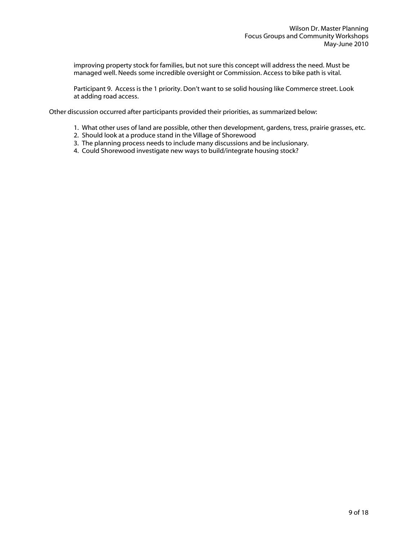improving property stock for families, but not sure this concept will address the need. Must be managed well. Needs some incredible oversight or Commission. Access to bike path is vital.

 Participant 9. Access is the 1 priority. Don't want to se solid housing like Commerce street. Look at adding road access.

Other discussion occurred after participants provided their priorities, as summarized below:

- 1. What other uses of land are possible, other then development, gardens, tress, prairie grasses, etc.
- 2. Should look at a produce stand in the Village of Shorewood
- 3. The planning process needs to include many discussions and be inclusionary.
- 4. Could Shorewood investigate new ways to build/integrate housing stock?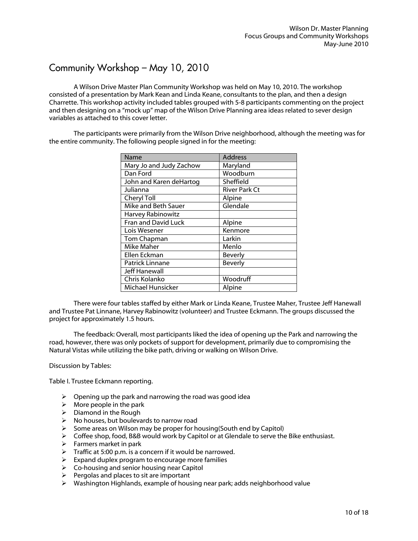## Community Workshop – May 10, 2010

 A Wilson Drive Master Plan Community Workshop was held on May 10, 2010. The workshop consisted of a presentation by Mark Kean and Linda Keane, consultants to the plan, and then a design Charrette. This workshop activity included tables grouped with 5-8 participants commenting on the project and then designing on a "mock up" map of the Wilson Drive Planning area ideas related to sever design variables as attached to this cover letter.

 The participants were primarily from the Wilson Drive neighborhood, although the meeting was for the entire community. The following people signed in for the meeting:

| Name                     | <b>Address</b>       |
|--------------------------|----------------------|
| Mary Jo and Judy Zachow  | Maryland             |
| Dan Ford                 | Woodburn             |
| John and Karen deHartog  | Sheffield            |
| Julianna                 | <b>River Park Ct</b> |
| Cheryl Toll              | Alpine               |
| Mike and Beth Sauer      | Glendale             |
| Harvey Rabinowitz        |                      |
| Fran and David Luck      | Alpine               |
| Lois Wesener             | Kenmore              |
| Tom Chapman              | Larkin               |
| Mike Maher               | Menlo                |
| Ellen Eckman             | Beverly              |
| Patrick Linnane          | <b>Beverly</b>       |
| <b>Jeff Hanewall</b>     |                      |
| Chris Kolanko            | Woodruff             |
| <b>Michael Hunsicker</b> | Alpine               |

 There were four tables staffed by either Mark or Linda Keane, Trustee Maher, Trustee Jeff Hanewall and Trustee Pat Linnane, Harvey Rabinowitz (volunteer) and Trustee Eckmann. The groups discussed the project for approximately 1.5 hours.

 The feedback: Overall, most participants liked the idea of opening up the Park and narrowing the road, however, there was only pockets of support for development, primarily due to compromising the Natural Vistas while utilizing the bike path, driving or walking on Wilson Drive.

Discussion by Tables:

Table I. Trustee Eckmann reporting.

- $\triangleright$  Opening up the park and narrowing the road was good idea
- $\triangleright$  More people in the park
- $\triangleright$  Diamond in the Rough
- $\triangleright$  No houses, but boulevards to narrow road
- $\triangleright$  Some areas on Wilson may be proper for housing(South end by Capitol)
- Coffee shop, food, B&B would work by Capitol or at Glendale to serve the Bike enthusiast.
- $\triangleright$  Farmers market in park
- $\triangleright$  Traffic at 5:00 p.m. is a concern if it would be narrowed.
- $\triangleright$  Expand duplex program to encourage more families
- $\triangleright$  Co-housing and senior housing near Capitol
- $\triangleright$  Pergolas and places to sit are important
- $\triangleright$  Washington Highlands, example of housing near park; adds neighborhood value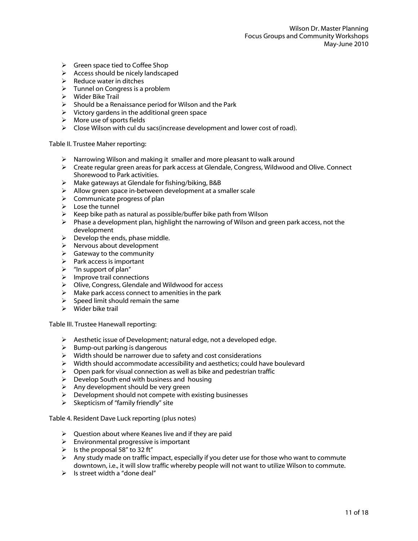- $\triangleright$  Green space tied to Coffee Shop
- $\triangleright$  Access should be nicely landscaped
- $\triangleright$  Reduce water in ditches
- $\triangleright$  Tunnel on Congress is a problem
- $\triangleright$  Wider Bike Trail
- $\triangleright$  Should be a Renaissance period for Wilson and the Park
- $\triangleright$  Victory gardens in the additional green space
- $\triangleright$  More use of sports fields
- $\triangleright$  Close Wilson with cul du sacs(increase development and lower cost of road).

#### Table II. Trustee Maher reporting:

- $\triangleright$  Narrowing Wilson and making it smaller and more pleasant to walk around
- $\triangleright$  Create regular green areas for park access at Glendale, Congress, Wildwood and Olive. Connect Shorewood to Park activities.
- $\triangleright$  Make gateways at Glendale for fishing/biking, B&B
- $\triangleright$  Allow green space in-between development at a smaller scale
- $\triangleright$  Communicate progress of plan
- $\triangleright$  Lose the tunnel
- $\triangleright$  Keep bike path as natural as possible/buffer bike path from Wilson
- $\triangleright$  Phase a development plan, highlight the narrowing of Wilson and green park access, not the development
- $\triangleright$  Develop the ends, phase middle.
- $\triangleright$  Nervous about development
- $\triangleright$  Gateway to the community
- $\triangleright$  Park access is important
- $\triangleright$  "In support of plan"
- $\triangleright$  Improve trail connections
- Olive, Congress, Glendale and Wildwood for access
- $\triangleright$  Make park access connect to amenities in the park
- $\triangleright$  Speed limit should remain the same
- $\triangleright$  Wider bike trail

Table III. Trustee Hanewall reporting:

- $\triangleright$  Aesthetic issue of Development; natural edge, not a developed edge.
- $\triangleright$  Bump-out parking is dangerous
- $\triangleright$  Width should be narrower due to safety and cost considerations
- $\triangleright$  Width should accommodate accessibility and aesthetics; could have boulevard
- $\triangleright$  Open park for visual connection as well as bike and pedestrian traffic
- $\triangleright$  Develop South end with business and housing
- $\triangleright$  Any development should be very green
- $\triangleright$  Development should not compete with existing businesses
- $\triangleright$  Skepticism of "family friendly" site

Table 4. Resident Dave Luck reporting (plus notes)

- $\triangleright$  Question about where Keanes live and if they are paid
- $\triangleright$  Environmental progressive is important
- $\triangleright$  Is the proposal 58" to 32 ft"
- $\triangleright$  Any study made on traffic impact, especially if you deter use for those who want to commute downtown, i.e., it will slow traffic whereby people will not want to utilize Wilson to commute.
- $\triangleright$  Is street width a "done deal"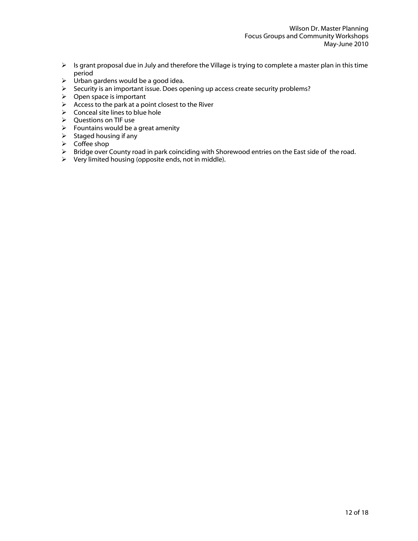- $\triangleright$  Is grant proposal due in July and therefore the Village is trying to complete a master plan in this time period
- $\triangleright$  Urban gardens would be a good idea.
- $\triangleright$  Security is an important issue. Does opening up access create security problems?
- $\triangleright$  Open space is important
- $\triangleright$  Access to the park at a point closest to the River
- $\triangleright$  Conceal site lines to blue hole
- Questions on TIF use
- $\triangleright$  Fountains would be a great amenity
- $\triangleright$  Staged housing if any
- $\triangleright$  Coffee shop
- > Bridge over County road in park coinciding with Shorewood entries on the East side of the road.
- $\triangleright$  Very limited housing (opposite ends, not in middle).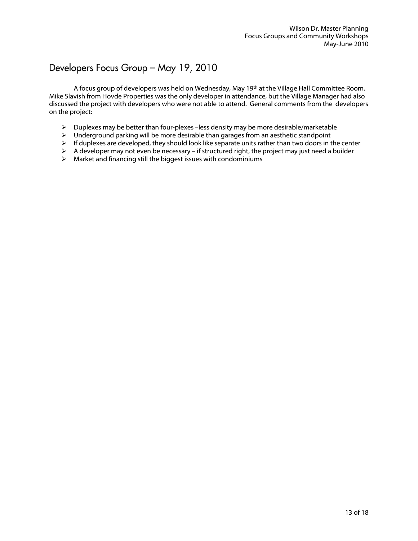## Developers Focus Group – May 19, 2010

 A focus group of developers was held on Wednesday, May 19th at the Village Hall Committee Room. Mike Slavish from Hovde Properties was the only developer in attendance, but the Village Manager had also discussed the project with developers who were not able to attend. General comments from the developers on the project:

- $\triangleright$  Duplexes may be better than four-plexes –less density may be more desirable/marketable
- $\triangleright$  Underground parking will be more desirable than garages from an aesthetic standpoint
- $\triangleright$  If duplexes are developed, they should look like separate units rather than two doors in the center
- $\triangleright$  A developer may not even be necessary if structured right, the project may just need a builder
- $\triangleright$  Market and financing still the biggest issues with condominiums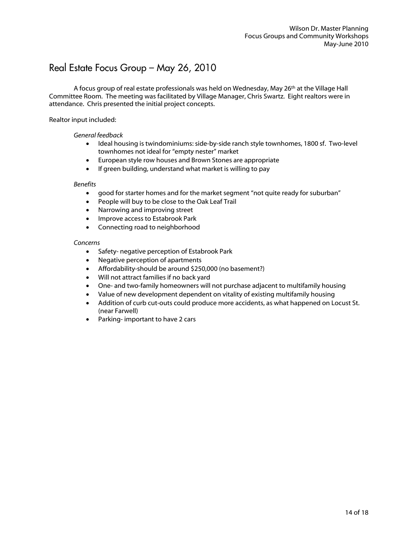### Real Estate Focus Group – May 26, 2010

 A focus group of real estate professionals was held on Wednesday, May 26th at the Village Hall Committee Room. The meeting was facilitated by Village Manager, Chris Swartz. Eight realtors were in attendance. Chris presented the initial project concepts.

#### Realtor input included:

#### *General feedback*

- Ideal housing is twindominiums: side-by-side ranch style townhomes, 1800 sf. Two-level townhomes not ideal for "empty nester" market
- European style row houses and Brown Stones are appropriate
- If green building, understand what market is willing to pay

#### *Benefits*

- good for starter homes and for the market segment "not quite ready for suburban"
- People will buy to be close to the Oak Leaf Trail
- Narrowing and improving street
- **•** Improve access to Estabrook Park
- Connecting road to neighborhood

#### *Concerns*

- Safety- negative perception of Estabrook Park
- Negative perception of apartments
- Affordability-should be around \$250,000 (no basement?)
- Will not attract families if no back yard
- One- and two-family homeowners will not purchase adjacent to multifamily housing
- Value of new development dependent on vitality of existing multifamily housing
- Addition of curb cut-outs could produce more accidents, as what happened on Locust St. (near Farwell)
- Parking- important to have 2 cars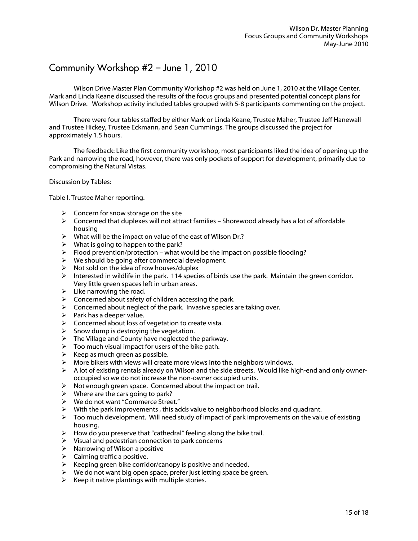### Community Workshop #2 – June 1, 2010

 Wilson Drive Master Plan Community Workshop #2 was held on June 1, 2010 at the Village Center. Mark and Linda Keane discussed the results of the focus groups and presented potential concept plans for Wilson Drive. Workshop activity included tables grouped with 5-8 participants commenting on the project.

 There were four tables staffed by either Mark or Linda Keane, Trustee Maher, Trustee Jeff Hanewall and Trustee Hickey, Trustee Eckmann, and Sean Cummings. The groups discussed the project for approximately 1.5 hours.

 The feedback: Like the first community workshop, most participants liked the idea of opening up the Park and narrowing the road, however, there was only pockets of support for development, primarily due to compromising the Natural Vistas.

Discussion by Tables:

Table I. Trustee Maher reporting.

- $\triangleright$  Concern for snow storage on the site
- $\triangleright$  Concerned that duplexes will not attract families Shorewood already has a lot of affordable housing
- $\triangleright$  What will be the impact on value of the east of Wilson Dr.?
- $\triangleright$  What is going to happen to the park?
- $\triangleright$  Flood prevention/protection what would be the impact on possible flooding?
- $\triangleright$  We should be going after commercial development.
- $\triangleright$  Not sold on the idea of row houses/duplex
- Interested in wildlife in the park. 114 species of birds use the park. Maintain the green corridor. Very little green spaces left in urban areas.
- $\triangleright$  Like narrowing the road.
- $\triangleright$  Concerned about safety of children accessing the park.
- $\triangleright$  Concerned about neglect of the park. Invasive species are taking over.
- $\triangleright$  Park has a deeper value.
- $\triangleright$  Concerned about loss of vegetation to create vista.
- $\triangleright$  Snow dump is destroying the vegetation.
- $\triangleright$  The Village and County have neglected the parkway.
- $\triangleright$  Too much visual impact for users of the bike path.
- $\triangleright$  Keep as much green as possible.
- $\triangleright$  More bikers with views will create more views into the neighbors windows.
- $\triangleright$  A lot of existing rentals already on Wilson and the side streets. Would like high-end and only owneroccupied so we do not increase the non-owner occupied units.
- $\triangleright$  Not enough green space. Concerned about the impact on trail.
- $\triangleright$  Where are the cars going to park?
- We do not want "Commerce Street."
- $\triangleright$  With the park improvements, this adds value to neighborhood blocks and quadrant.
- $\triangleright$  Too much development. Will need study of impact of park improvements on the value of existing housing.
- $\triangleright$  How do you preserve that "cathedral" feeling along the bike trail.
- $\triangleright$  Visual and pedestrian connection to park concerns
- $\triangleright$  Narrowing of Wilson a positive
- $\triangleright$  Calming traffic a positive.
- $\triangleright$  Keeping green bike corridor/canopy is positive and needed.
- $\triangleright$  We do not want big open space, prefer just letting space be green.
- $\triangleright$  Keep it native plantings with multiple stories.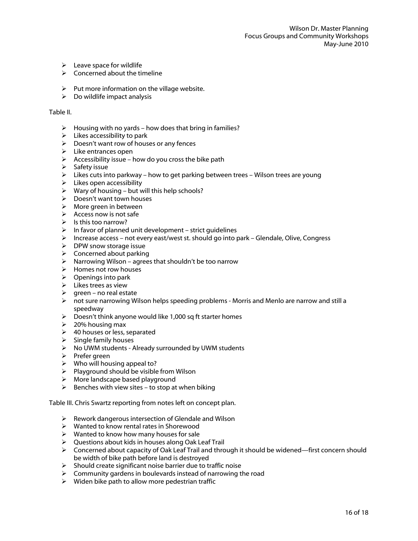- $\triangleright$  Leave space for wildlife
- $\triangleright$  Concerned about the timeline
- $\triangleright$  Put more information on the village website.
- $\triangleright$  Do wildlife impact analysis

#### Table II.

- $\triangleright$  Housing with no yards how does that bring in families?
- $\triangleright$  Likes accessibility to park
- $\triangleright$  Doesn't want row of houses or any fences
- $\triangleright$  Like entrances open
- $\triangleright$  Accessibility issue how do you cross the bike path
- $\triangleright$  Safety issue
- $\triangleright$  Likes cuts into parkway how to get parking between trees Wilson trees are young
- $\triangleright$  Likes open accessibility
- $\triangleright$  Wary of housing but will this help schools?
- $\triangleright$  Doesn't want town houses
- $\triangleright$  More green in between
- $\triangleright$  Access now is not safe
- $\triangleright$  Is this too narrow?
- $\triangleright$  In favor of planned unit development strict quidelines
- $\triangleright$  Increase access not every east/west st. should go into park Glendale, Olive, Congress
- $\triangleright$  DPW snow storage issue
- $\triangleright$  Concerned about parking
- $\triangleright$  Narrowing Wilson agrees that shouldn't be too narrow
- $\triangleright$  Homes not row houses
- $\triangleright$  Openings into park
- $\triangleright$  Likes trees as view
- $\triangleright$  green no real estate
- $\triangleright$  not sure narrowing Wilson helps speeding problems Morris and Menlo are narrow and still a speedway
- $\triangleright$  Doesn't think anyone would like 1,000 sq ft starter homes
- $\geq$  20% housing max
- $\triangleright$  40 houses or less, separated
- $\triangleright$  Single family houses
- $\triangleright$  No UWM students Already surrounded by UWM students
- $\triangleright$  Prefer green
- $\triangleright$  Who will housing appeal to?
- $\triangleright$  Playground should be visible from Wilson
- $\triangleright$  More landscape based playground
- $\triangleright$  Benches with view sites to stop at when biking

Table III. Chris Swartz reporting from notes left on concept plan.

- $\triangleright$  Rework dangerous intersection of Glendale and Wilson
- Wanted to know rental rates in Shorewood
- $\triangleright$  Wanted to know how many houses for sale
- $\triangleright$  Questions about kids in houses along Oak Leaf Trail
- $\triangleright$  Concerned about capacity of Oak Leaf Trail and through it should be widened—first concern should be width of bike path before land is destroyed
- $\triangleright$  Should create significant noise barrier due to traffic noise
- $\triangleright$  Community gardens in boulevards instead of narrowing the road
- $\triangleright$  Widen bike path to allow more pedestrian traffic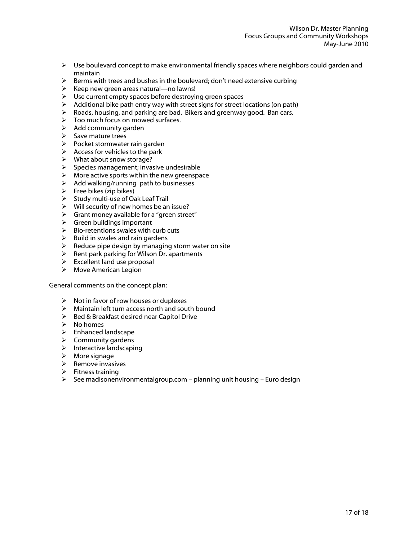- $\triangleright$  Use boulevard concept to make environmental friendly spaces where neighbors could garden and maintain
- $\triangleright$  Berms with trees and bushes in the boulevard; don't need extensive curbing
- $\triangleright$  Keep new green areas natural—no lawns!
- Use current empty spaces before destroying green spaces
- $\triangleright$  Additional bike path entry way with street signs for street locations (on path)
- Roads, housing, and parking are bad. Bikers and greenway good. Ban cars.
- $\triangleright$  Too much focus on mowed surfaces.
- $\triangleright$  Add community garden
- $\triangleright$  Save mature trees
- $\triangleright$  Pocket stormwater rain garden
- $\triangleright$  Access for vehicles to the park
- $\triangleright$  What about snow storage?
- $\triangleright$  Species management; invasive undesirable
- $\triangleright$  More active sports within the new greenspace
- $\triangleright$  Add walking/running path to businesses
- $\triangleright$  Free bikes (zip bikes)
- $\triangleright$  Study multi-use of Oak Leaf Trail
- $\triangleright$  Will security of new homes be an issue?
- $\triangleright$  Grant money available for a "green street"
- $\triangleright$  Green buildings important
- $\triangleright$  Bio-retentions swales with curb cuts
- $\triangleright$  Build in swales and rain gardens
- $\triangleright$  Reduce pipe design by managing storm water on site
- $\triangleright$  Rent park parking for Wilson Dr. apartments
- $\triangleright$  Excellent land use proposal
- Move American Legion

General comments on the concept plan:

- $\triangleright$  Not in favor of row houses or duplexes
- $\triangleright$  Maintain left turn access north and south bound
- $\triangleright$  Bed & Breakfast desired near Capitol Drive
- $\triangleright$  No homes
- > Enhanced landscape
- $\triangleright$  Community gardens
- $\triangleright$  Interactive landscaping
- $\triangleright$  More signage
- $\triangleright$  Remove invasives
- $\triangleright$  Fitness training
- $\triangleright$  See madisonenvironmentalgroup.com planning unit housing Euro design